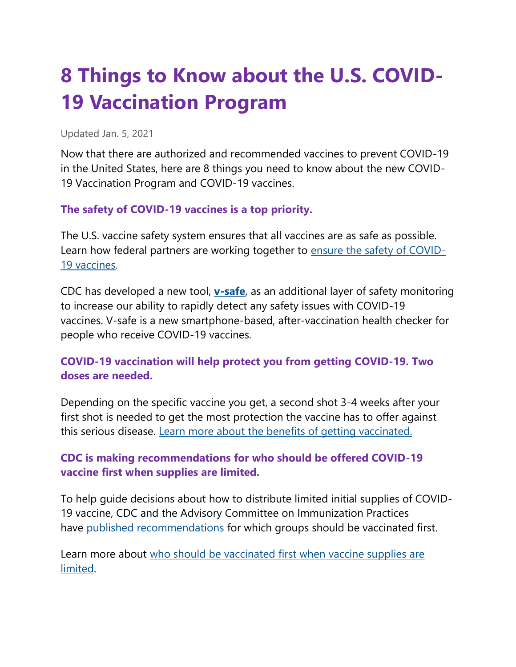# **8 Things to Know about the U.S. COVID-19 Vaccination Program**

Updated Jan. 5, 2021

Now that there are authorized and recommended vaccines to prevent COVID-19 in the United States, here are 8 things you need to know about the new COVID-19 Vaccination Program and COVID-19 vaccines.

### **The safety of COVID-19 vaccines is a top priority.**

The U.S. vaccine safety system ensures that all vaccines are as safe as possible. Learn how federal partners are working together to [ensure the safety of COVID-](https://www.cdc.gov/coronavirus/2019-ncov/vaccines/safety.html)[19 vaccines.](https://www.cdc.gov/coronavirus/2019-ncov/vaccines/safety.html)

CDC has developed a new tool, **[v-safe](https://www.cdc.gov/coronavirus/2019-ncov/vaccines/safety/vsafe.html)**, as an additional layer of safety monitoring to increase our ability to rapidly detect any safety issues with COVID-19 vaccines. V-safe is a new smartphone-based, after-vaccination health checker for people who receive COVID-19 vaccines.

### **COVID-19 vaccination will help protect you from getting COVID-19. Two doses are needed.**

Depending on the specific vaccine you get, a second shot 3-4 weeks after your first shot is needed to get the most protection the vaccine has to offer against this serious disease. [Learn more about the benefits of getting vaccinated.](https://www.cdc.gov/coronavirus/2019-ncov/vaccines/vaccine-benefits.html)

### **CDC is making recommendations for who should be offered COVID-19 vaccine first when supplies are limited.**

To help guide decisions about how to distribute limited initial supplies of COVID-19 vaccine, CDC and the Advisory Committee on Immunization Practices have [published recommendations](https://www.cdc.gov/vaccines/hcp/acip-recs/vacc-specific/covid-19.html) for which groups should be vaccinated first.

Learn more about [who should be vaccinated first when vaccine supplies are](https://www.cdc.gov/coronavirus/2019-ncov/vaccines/recommendations.html)  [limited.](https://www.cdc.gov/coronavirus/2019-ncov/vaccines/recommendations.html)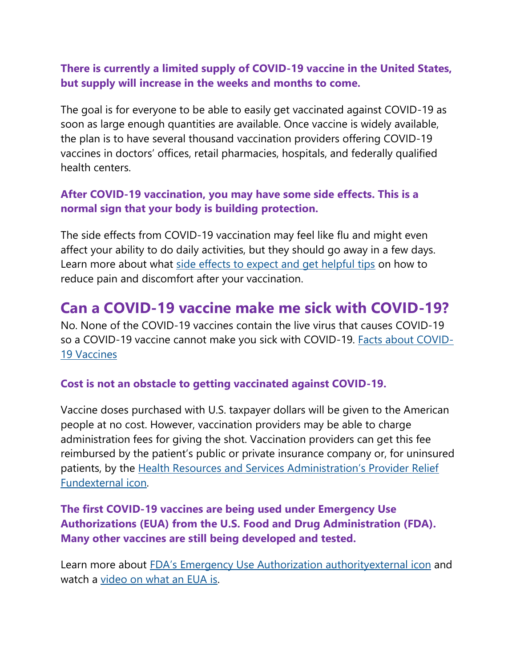### **There is currently a limited supply of COVID-19 vaccine in the United States, but supply will increase in the weeks and months to come.**

The goal is for everyone to be able to easily get vaccinated against COVID-19 as soon as large enough quantities are available. Once vaccine is widely available, the plan is to have several thousand vaccination providers offering COVID-19 vaccines in doctors' offices, retail pharmacies, hospitals, and federally qualified health centers.

### **After COVID-19 vaccination, you may have some side effects. This is a normal sign that your body is building protection.**

The side effects from COVID-19 vaccination may feel like flu and might even affect your ability to do daily activities, but they should go away in a few days. Learn more about what [side effects to expect and get helpful tips](https://www.cdc.gov/coronavirus/2019-ncov/vaccines/expect/after.html) on how to reduce pain and discomfort after your vaccination.

# **Can a COVID-19 vaccine make me sick with COVID-19?**

No. None of the COVID-19 vaccines contain the live virus that causes COVID-19 so a COVID-19 vaccine cannot make you sick with COVID-19. [Facts about COVID-](https://www.cdc.gov/coronavirus/2019-ncov/vaccines/facts.html)[19 Vaccines](https://www.cdc.gov/coronavirus/2019-ncov/vaccines/facts.html)

#### **Cost is not an obstacle to getting vaccinated against COVID-19.**

Vaccine doses purchased with U.S. taxpayer dollars will be given to the American people at no cost. However, vaccination providers may be able to charge administration fees for giving the shot. Vaccination providers can get this fee reimbursed by the patient's public or private insurance company or, for uninsured patients, by the [Health Resources and Services Administration's Provider Relief](https://www.hhs.gov/coronavirus/cares-act-provider-relief-fund/index.html)  [Fundexternal](https://www.hhs.gov/coronavirus/cares-act-provider-relief-fund/index.html) icon.

### **The first COVID-19 vaccines are being used under Emergency Use Authorizations (EUA) from the U.S. Food and Drug Administration (FDA). Many other vaccines are still being developed and tested.**

Learn more about [FDA's Emergency Use Authorization authority](https://www.fda.gov/emergency-preparedness-and-response/mcm-legal-regulatory-and-policy-framework/emergency-use-authorization)external icon and watch a [video on what an EUA is.](https://www.youtube.com/watch?v=iGkwaESsGBQ)